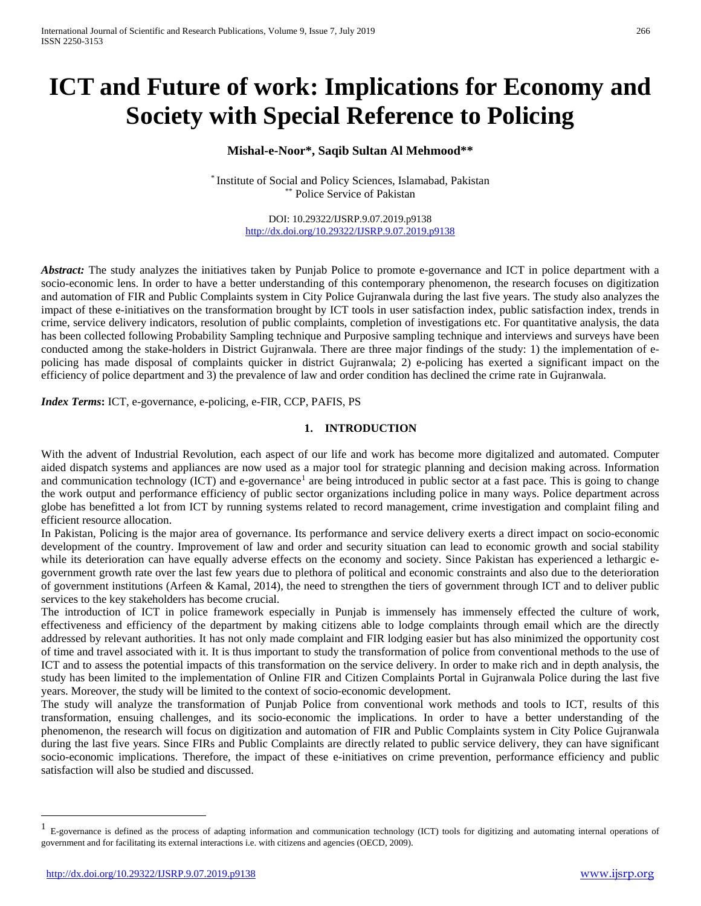# **ICT and Future of work: Implications for Economy and Society with Special Reference to Policing**

# **Mishal-e-Noor\*, Saqib Sultan Al Mehmood\*\***

\* Institute of Social and Policy Sciences, Islamabad, Pakistan \*\* Police Service of Pakistan

> DOI: 10.29322/IJSRP.9.07.2019.p9138 <http://dx.doi.org/10.29322/IJSRP.9.07.2019.p9138>

*Abstract:* The study analyzes the initiatives taken by Punjab Police to promote e-governance and ICT in police department with a socio-economic lens. In order to have a better understanding of this contemporary phenomenon, the research focuses on digitization and automation of FIR and Public Complaints system in City Police Gujranwala during the last five years. The study also analyzes the impact of these e-initiatives on the transformation brought by ICT tools in user satisfaction index, public satisfaction index, trends in crime, service delivery indicators, resolution of public complaints, completion of investigations etc. For quantitative analysis, the data has been collected following Probability Sampling technique and Purposive sampling technique and interviews and surveys have been conducted among the stake-holders in District Gujranwala. There are three major findings of the study: 1) the implementation of epolicing has made disposal of complaints quicker in district Gujranwala; 2) e-policing has exerted a significant impact on the efficiency of police department and 3) the prevalence of law and order condition has declined the crime rate in Gujranwala.

*Index Terms***:** ICT, e-governance, e-policing, e-FIR, CCP, PAFIS, PS

#### **1. INTRODUCTION**

With the advent of Industrial Revolution, each aspect of our life and work has become more digitalized and automated. Computer aided dispatch systems and appliances are now used as a major tool for strategic planning and decision making across. Information and communication technology (ICT) and e-governance<sup>[1](#page-0-0)</sup> are being introduced in public sector at a fast pace. This is going to change the work output and performance efficiency of public sector organizations including police in many ways. Police department across globe has benefitted a lot from ICT by running systems related to record management, crime investigation and complaint filing and efficient resource allocation.

In Pakistan, Policing is the major area of governance. Its performance and service delivery exerts a direct impact on socio-economic development of the country. Improvement of law and order and security situation can lead to economic growth and social stability while its deterioration can have equally adverse effects on the economy and society. Since Pakistan has experienced a lethargic egovernment growth rate over the last few years due to plethora of political and economic constraints and also due to the deterioration of government institutions (Arfeen & Kamal, 2014), the need to strengthen the tiers of government through ICT and to deliver public services to the key stakeholders has become crucial.

The introduction of ICT in police framework especially in Punjab is immensely has immensely effected the culture of work, effectiveness and efficiency of the department by making citizens able to lodge complaints through email which are the directly addressed by relevant authorities. It has not only made complaint and FIR lodging easier but has also minimized the opportunity cost of time and travel associated with it. It is thus important to study the transformation of police from conventional methods to the use of ICT and to assess the potential impacts of this transformation on the service delivery. In order to make rich and in depth analysis, the study has been limited to the implementation of Online FIR and Citizen Complaints Portal in Gujranwala Police during the last five years. Moreover, the study will be limited to the context of socio-economic development.

The study will analyze the transformation of Punjab Police from conventional work methods and tools to ICT, results of this transformation, ensuing challenges, and its socio-economic the implications. In order to have a better understanding of the phenomenon, the research will focus on digitization and automation of FIR and Public Complaints system in City Police Gujranwala during the last five years. Since FIRs and Public Complaints are directly related to public service delivery, they can have significant socio-economic implications. Therefore, the impact of these e-initiatives on crime prevention, performance efficiency and public satisfaction will also be studied and discussed.

<span id="page-0-0"></span> <sup>1</sup> E-governance is defined as the process of adapting information and communication technology (ICT) tools for digitizing and automating internal operations of government and for facilitating its external interactions i.e. with citizens and agencies (OECD, 2009).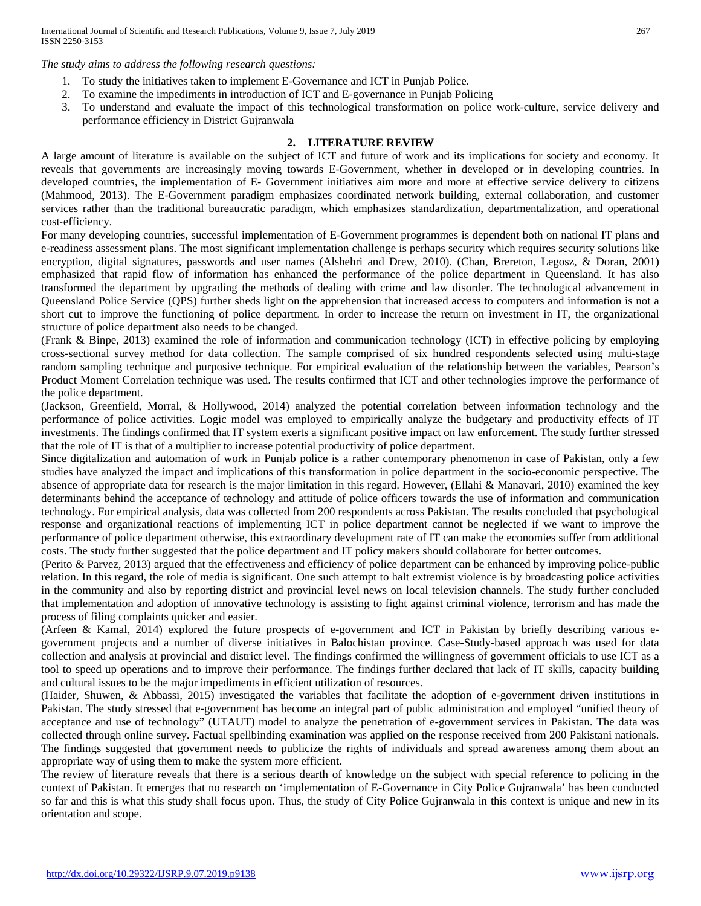International Journal of Scientific and Research Publications, Volume 9, Issue 7, July 2019 267 ISSN 2250-3153

*The study aims to address the following research questions:* 

- 1. To study the initiatives taken to implement E-Governance and ICT in Punjab Police.
- 2. To examine the impediments in introduction of ICT and E-governance in Punjab Policing
- 3. To understand and evaluate the impact of this technological transformation on police work-culture, service delivery and performance efficiency in District Gujranwala

#### **2. LITERATURE REVIEW**

A large amount of literature is available on the subject of ICT and future of work and its implications for society and economy. It reveals that governments are increasingly moving towards E-Government, whether in developed or in developing countries. In developed countries, the implementation of E- Government initiatives aim more and more at effective service delivery to citizens (Mahmood, 2013). The E-Government paradigm emphasizes coordinated network building, external collaboration, and customer services rather than the traditional bureaucratic paradigm, which emphasizes standardization, departmentalization, and operational cost‐efficiency.

For many developing countries, successful implementation of E-Government programmes is dependent both on national IT plans and e-readiness assessment plans. The most significant implementation challenge is perhaps security which requires security solutions like encryption, digital signatures, passwords and user names (Alshehri and Drew, 2010). (Chan, Brereton, Legosz, & Doran, 2001) emphasized that rapid flow of information has enhanced the performance of the police department in Queensland. It has also transformed the department by upgrading the methods of dealing with crime and law disorder. The technological advancement in Queensland Police Service (QPS) further sheds light on the apprehension that increased access to computers and information is not a short cut to improve the functioning of police department. In order to increase the return on investment in IT, the organizational structure of police department also needs to be changed.

(Frank & Binpe, 2013) examined the role of information and communication technology (ICT) in effective policing by employing cross-sectional survey method for data collection. The sample comprised of six hundred respondents selected using multi-stage random sampling technique and purposive technique. For empirical evaluation of the relationship between the variables, Pearson's Product Moment Correlation technique was used. The results confirmed that ICT and other technologies improve the performance of the police department.

(Jackson, Greenfield, Morral, & Hollywood, 2014) analyzed the potential correlation between information technology and the performance of police activities. Logic model was employed to empirically analyze the budgetary and productivity effects of IT investments. The findings confirmed that IT system exerts a significant positive impact on law enforcement. The study further stressed that the role of IT is that of a multiplier to increase potential productivity of police department.

Since digitalization and automation of work in Punjab police is a rather contemporary phenomenon in case of Pakistan, only a few studies have analyzed the impact and implications of this transformation in police department in the socio-economic perspective. The absence of appropriate data for research is the major limitation in this regard. However, (Ellahi & Manavari, 2010) examined the key determinants behind the acceptance of technology and attitude of police officers towards the use of information and communication technology. For empirical analysis, data was collected from 200 respondents across Pakistan. The results concluded that psychological response and organizational reactions of implementing ICT in police department cannot be neglected if we want to improve the performance of police department otherwise, this extraordinary development rate of IT can make the economies suffer from additional costs. The study further suggested that the police department and IT policy makers should collaborate for better outcomes.

(Perito & Parvez, 2013) argued that the effectiveness and efficiency of police department can be enhanced by improving police-public relation. In this regard, the role of media is significant. One such attempt to halt extremist violence is by broadcasting police activities in the community and also by reporting district and provincial level news on local television channels. The study further concluded that implementation and adoption of innovative technology is assisting to fight against criminal violence, terrorism and has made the process of filing complaints quicker and easier.

(Arfeen & Kamal, 2014) explored the future prospects of e-government and ICT in Pakistan by briefly describing various egovernment projects and a number of diverse initiatives in Balochistan province. Case-Study-based approach was used for data collection and analysis at provincial and district level. The findings confirmed the willingness of government officials to use ICT as a tool to speed up operations and to improve their performance. The findings further declared that lack of IT skills, capacity building and cultural issues to be the major impediments in efficient utilization of resources.

(Haider, Shuwen, & Abbassi, 2015) investigated the variables that facilitate the adoption of e-government driven institutions in Pakistan. The study stressed that e-government has become an integral part of public administration and employed "unified theory of acceptance and use of technology" (UTAUT) model to analyze the penetration of e-government services in Pakistan. The data was collected through online survey. Factual spellbinding examination was applied on the response received from 200 Pakistani nationals. The findings suggested that government needs to publicize the rights of individuals and spread awareness among them about an appropriate way of using them to make the system more efficient.

The review of literature reveals that there is a serious dearth of knowledge on the subject with special reference to policing in the context of Pakistan. It emerges that no research on 'implementation of E-Governance in City Police Gujranwala' has been conducted so far and this is what this study shall focus upon. Thus, the study of City Police Gujranwala in this context is unique and new in its orientation and scope.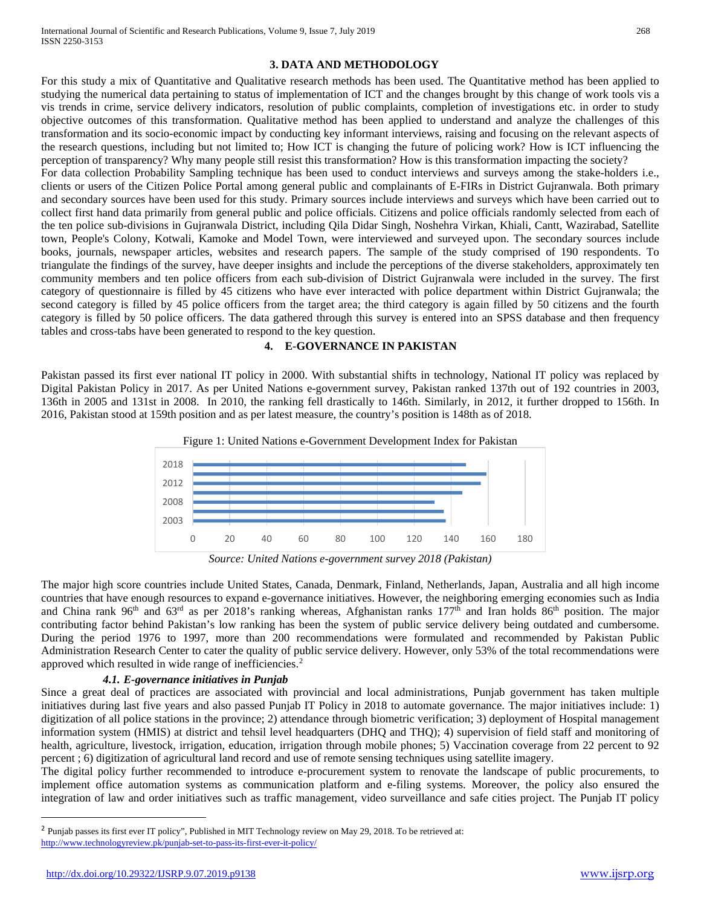#### **3. DATA AND METHODOLOGY**

For this study a mix of Quantitative and Qualitative research methods has been used. The Quantitative method has been applied to studying the numerical data pertaining to status of implementation of ICT and the changes brought by this change of work tools vis a vis trends in crime, service delivery indicators, resolution of public complaints, completion of investigations etc. in order to study objective outcomes of this transformation. Qualitative method has been applied to understand and analyze the challenges of this transformation and its socio-economic impact by conducting key informant interviews, raising and focusing on the relevant aspects of the research questions, including but not limited to; How ICT is changing the future of policing work? How is ICT influencing the perception of transparency? Why many people still resist this transformation? How is this transformation impacting the society?

For data collection Probability Sampling technique has been used to conduct interviews and surveys among the stake-holders i.e., clients or users of the Citizen Police Portal among general public and complainants of E-FIRs in District Gujranwala. Both primary and secondary sources have been used for this study. Primary sources include interviews and surveys which have been carried out to collect first hand data primarily from general public and police officials. Citizens and police officials randomly selected from each of the ten police sub-divisions in Gujranwala District, including Qila Didar Singh, Noshehra Virkan, Khiali, Cantt, Wazirabad, Satellite town, People's Colony, Kotwali, Kamoke and Model Town, were interviewed and surveyed upon. The secondary sources include books, journals, newspaper articles, websites and research papers. The sample of the study comprised of 190 respondents. To triangulate the findings of the survey, have deeper insights and include the perceptions of the diverse stakeholders, approximately ten community members and ten police officers from each sub-division of District Gujranwala were included in the survey. The first category of questionnaire is filled by 45 citizens who have ever interacted with police department within District Gujranwala; the second category is filled by 45 police officers from the target area; the third category is again filled by 50 citizens and the fourth category is filled by 50 police officers. The data gathered through this survey is entered into an SPSS database and then frequency tables and cross-tabs have been generated to respond to the key question.

# **4. E-GOVERNANCE IN PAKISTAN**

Pakistan passed its first ever national IT policy in 2000. With substantial shifts in technology, National IT policy was replaced by Digital Pakistan Policy in 2017. As per United Nations e-government survey, Pakistan ranked 137th out of 192 countries in 2003, 136th in 2005 and 131st in 2008. In 2010, the ranking fell drastically to 146th. Similarly, in 2012, it further dropped to 156th. In 2016, Pakistan stood at 159th position and as per latest measure, the country's position is 148th as of 2018.



*Source: United Nations e-government survey 2018 (Pakistan)*

The major high score countries include United States, Canada, Denmark, Finland, Netherlands, Japan, Australia and all high income countries that have enough resources to expand e-governance initiatives. However, the neighboring emerging economies such as India and China rank 96<sup>th</sup> and 63<sup>rd</sup> as per 2018's ranking whereas, Afghanistan ranks 177<sup>th</sup> and Iran holds 86<sup>th</sup> position. The major contributing factor behind Pakistan's low ranking has been the system of public service delivery being outdated and cumbersome. During the period 1976 to 1997, more than 200 recommendations were formulated and recommended by Pakistan Public Administration Research Center to cater the quality of public service delivery. However, only 53% of the total recommendations were approved which resulted in wide range of inefficiencies.[2](#page-2-0)

# *4.1. E-governance initiatives in Punjab*

Since a great deal of practices are associated with provincial and local administrations, Punjab government has taken multiple initiatives during last five years and also passed Punjab IT Policy in 2018 to automate governance. The major initiatives include: 1) digitization of all police stations in the province; 2) attendance through biometric verification; 3) deployment of Hospital management information system (HMIS) at district and tehsil level headquarters (DHQ and THQ); 4) supervision of field staff and monitoring of health, agriculture, livestock, irrigation, education, irrigation through mobile phones; 5) Vaccination coverage from 22 percent to 92 percent ; 6) digitization of agricultural land record and use of remote sensing techniques using satellite imagery.

The digital policy further recommended to introduce e-procurement system to renovate the landscape of public procurements, to implement office automation systems as communication platform and e-filing systems. Moreover, the policy also ensured the integration of law and order initiatives such as traffic management, video surveillance and safe cities project. The Punjab IT policy

 $\overline{a}$ 

<span id="page-2-0"></span> $2$  Punjab passes its first ever IT policy", Published in MIT Technology review on May 29, 2018. To be retrieved at: <http://www.technologyreview.pk/punjab-set-to-pass-its-first-ever-it-policy/>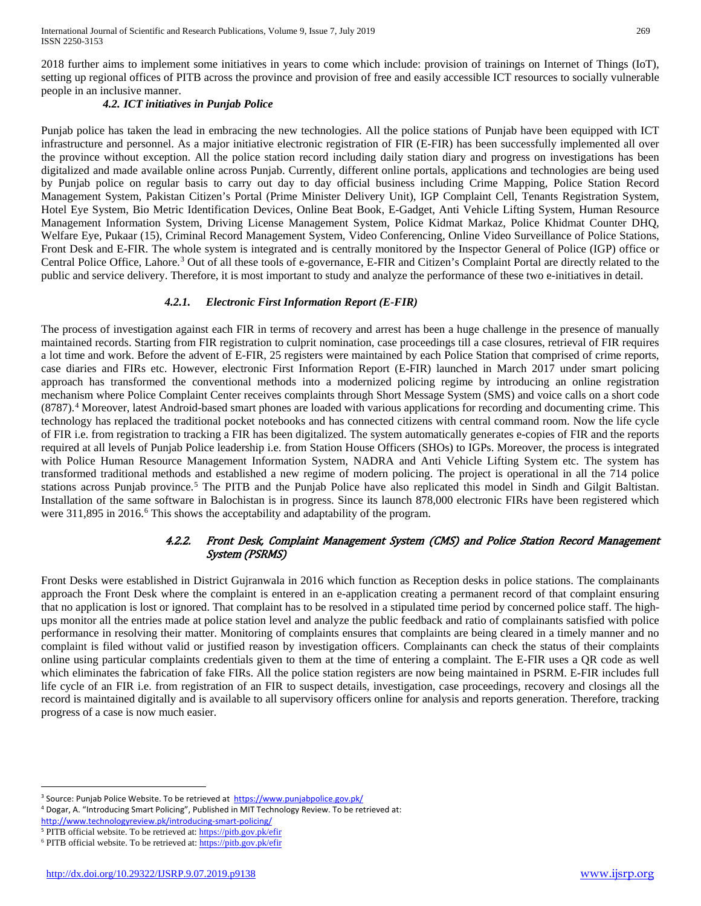2018 further aims to implement some initiatives in years to come which include: provision of trainings on Internet of Things (IoT), setting up regional offices of PITB across the province and provision of free and easily accessible ICT resources to socially vulnerable people in an inclusive manner.

# *4.2. ICT initiatives in Punjab Police*

Punjab police has taken the lead in embracing the new technologies. All the police stations of Punjab have been equipped with ICT infrastructure and personnel. As a major initiative electronic registration of FIR (E-FIR) has been successfully implemented all over the province without exception. All the police station record including daily station diary and progress on investigations has been digitalized and made available online across Punjab. Currently, different online portals, applications and technologies are being used by Punjab police on regular basis to carry out day to day official business including Crime Mapping, Police Station Record Management System, Pakistan Citizen's Portal (Prime Minister Delivery Unit), IGP Complaint Cell, Tenants Registration System, Hotel Eye System, Bio Metric Identification Devices, Online Beat Book, E-Gadget, Anti Vehicle Lifting System, Human Resource Management Information System, Driving License Management System, Police Kidmat Markaz, Police Khidmat Counter DHQ, Welfare Eye, Pukaar (15), Criminal Record Management System, Video Conferencing, Online Video Surveillance of Police Stations, Front Desk and E-FIR. The whole system is integrated and is centrally monitored by the Inspector General of Police (IGP) office or Central Police Office, Lahore.[3](#page-3-0) Out of all these tools of e-governance, E-FIR and Citizen's Complaint Portal are directly related to the public and service delivery. Therefore, it is most important to study and analyze the performance of these two e-initiatives in detail.

#### *4.2.1. Electronic First Information Report (E-FIR)*

The process of investigation against each FIR in terms of recovery and arrest has been a huge challenge in the presence of manually maintained records. Starting from FIR registration to culprit nomination, case proceedings till a case closures, retrieval of FIR requires a lot time and work. Before the advent of E-FIR, 25 registers were maintained by each Police Station that comprised of crime reports, case diaries and FIRs etc. However, electronic First Information Report (E-FIR) launched in March 2017 under smart policing approach has transformed the conventional methods into a modernized policing regime by introducing an online registration mechanism where Police Complaint Center receives complaints through Short Message System (SMS) and voice calls on a short code (8787).[4](#page-3-1) Moreover, latest Android-based smart phones are loaded with various applications for recording and documenting crime. This technology has replaced the traditional pocket notebooks and has connected citizens with central command room. Now the life cycle of FIR i.e. from registration to tracking a FIR has been digitalized. The system automatically generates e-copies of FIR and the reports required at all levels of Punjab Police leadership i.e. from Station House Officers (SHOs) to IGPs. Moreover, the process is integrated with Police Human Resource Management Information System, NADRA and Anti Vehicle Lifting System etc. The system has transformed traditional methods and established a new regime of modern policing. The project is operational in all the 714 police stations across Punjab province.<sup>[5](#page-3-2)</sup> The PITB and the Punjab Police have also replicated this model in Sindh and Gilgit Baltistan. Installation of the same software in Balochistan is in progress. Since its launch 878,000 electronic FIRs have been registered which were 311,895 in 201[6](#page-3-3).<sup>6</sup> This shows the acceptability and adaptability of the program.

# 4.2.2. Front Desk, Complaint Management System (CMS) and Police Station Record Management System (PSRMS)

Front Desks were established in District Gujranwala in 2016 which function as Reception desks in police stations. The complainants approach the Front Desk where the complaint is entered in an e-application creating a permanent record of that complaint ensuring that no application is lost or ignored. That complaint has to be resolved in a stipulated time period by concerned police staff. The highups monitor all the entries made at police station level and analyze the public feedback and ratio of complainants satisfied with police performance in resolving their matter. Monitoring of complaints ensures that complaints are being cleared in a timely manner and no complaint is filed without valid or justified reason by investigation officers. Complainants can check the status of their complaints online using particular complaints credentials given to them at the time of entering a complaint. The E-FIR uses a QR code as well which eliminates the fabrication of fake FIRs. All the police station registers are now being maintained in PSRM. E-FIR includes full life cycle of an FIR i.e. from registration of an FIR to suspect details, investigation, case proceedings, recovery and closings all the record is maintained digitally and is available to all supervisory officers online for analysis and reports generation. Therefore, tracking progress of a case is now much easier.

 $\overline{a}$ 

<span id="page-3-0"></span><sup>&</sup>lt;sup>3</sup> Source: Punjab Police Website. To be retrieved at<https://www.punjabpolice.gov.pk/>

<span id="page-3-1"></span><sup>4</sup> Dogar, A. "Introducing Smart Policing", Published in MIT Technology Review. To be retrieved at: <http://www.technologyreview.pk/introducing-smart-policing/>

<span id="page-3-2"></span><sup>&</sup>lt;sup>5</sup> PITB official website. To be retrieved at[: https://pitb.gov.pk/efir](https://pitb.gov.pk/efir)

<span id="page-3-3"></span><sup>6</sup> PITB official website. To be retrieved at[: https://pitb.gov.pk/efir](https://pitb.gov.pk/efir)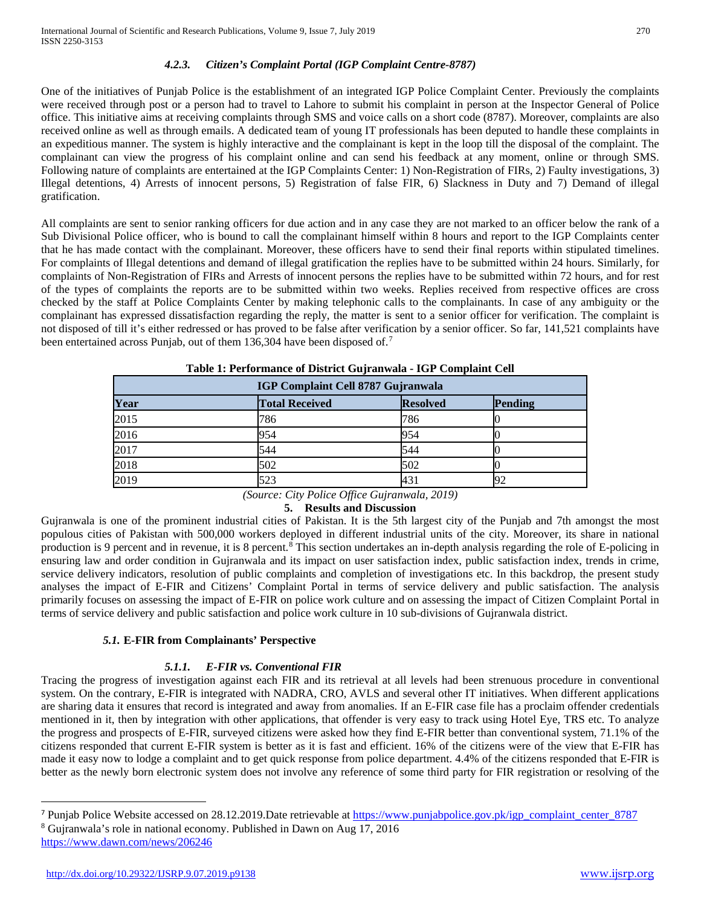# *4.2.3. Citizen's Complaint Portal (IGP Complaint Centre-8787)*

One of the initiatives of Punjab Police is the establishment of an integrated IGP Police Complaint Center. Previously the complaints were received through post or a person had to travel to Lahore to submit his complaint in person at the Inspector General of Police office. This initiative aims at receiving complaints through SMS and voice calls on a short code (8787). Moreover, complaints are also received online as well as through emails. A dedicated team of young IT professionals has been deputed to handle these complaints in an expeditious manner. The system is highly interactive and the complainant is kept in the loop till the disposal of the complaint. The complainant can view the progress of his complaint online and can send his feedback at any moment, online or through SMS. Following nature of complaints are entertained at the IGP Complaints Center: 1) Non-Registration of FIRs, 2) Faulty investigations, 3) Illegal detentions, 4) Arrests of innocent persons, 5) Registration of false FIR, 6) Slackness in Duty and 7) Demand of illegal gratification.

All complaints are sent to senior ranking officers for due action and in any case they are not marked to an officer below the rank of a Sub Divisional Police officer, who is bound to call the complainant himself within 8 hours and report to the IGP Complaints center that he has made contact with the complainant. Moreover, these officers have to send their final reports within stipulated timelines. For complaints of Illegal detentions and demand of illegal gratification the replies have to be submitted within 24 hours. Similarly, for complaints of Non-Registration of FIRs and Arrests of innocent persons the replies have to be submitted within 72 hours, and for rest of the types of complaints the reports are to be submitted within two weeks. Replies received from respective offices are cross checked by the staff at Police Complaints Center by making telephonic calls to the complainants. In case of any ambiguity or the complainant has expressed dissatisfaction regarding the reply, the matter is sent to a senior officer for verification. The complaint is not disposed of till it's either redressed or has proved to be false after verification by a senior officer. So far, 141,521 complaints have been entertained across Punjab, out of them 136,304 have been disposed of.<sup>[7](#page-4-0)</sup>

| IGP Complaint Cell 8787 Gujranwala |                       |                 |         |  |  |
|------------------------------------|-----------------------|-----------------|---------|--|--|
| Year                               | <b>Total Received</b> | <b>Resolved</b> | Pending |  |  |
| 2015                               | 786                   | 786             |         |  |  |
| 2016                               | 954                   | 954             |         |  |  |
| 2017                               | 544                   | 544             |         |  |  |
| 2018                               | 502                   | 502             |         |  |  |
| 2019                               | 523                   | 431             |         |  |  |

**Table 1: Performance of District Gujranwala - IGP Complaint Cell** 

*(Source: City Police Office Gujranwala, 2019)*

# **5. Results and Discussion**

Gujranwala is one of the prominent industrial cities of Pakistan. It is the 5th largest city of the Punjab and 7th amongst the most populous cities of Pakistan with 500,000 workers deployed in different industrial units of the city. Moreover, its share in national production is 9 percent and in revenue, it is [8](#page-4-1) percent.<sup>8</sup> This section undertakes an in-depth analysis regarding the role of E-policing in ensuring law and order condition in Gujranwala and its impact on user satisfaction index, public satisfaction index, trends in crime, service delivery indicators, resolution of public complaints and completion of investigations etc. In this backdrop, the present study analyses the impact of E-FIR and Citizens' Complaint Portal in terms of service delivery and public satisfaction. The analysis primarily focuses on assessing the impact of E-FIR on police work culture and on assessing the impact of Citizen Complaint Portal in terms of service delivery and public satisfaction and police work culture in 10 sub-divisions of Gujranwala district.

# *5.1.* **E-FIR from Complainants' Perspective**

# *5.1.1. E-FIR vs. Conventional FIR*

Tracing the progress of investigation against each FIR and its retrieval at all levels had been strenuous procedure in conventional system. On the contrary, E-FIR is integrated with NADRA, CRO, AVLS and several other IT initiatives. When different applications are sharing data it ensures that record is integrated and away from anomalies. If an E-FIR case file has a proclaim offender credentials mentioned in it, then by integration with other applications, that offender is very easy to track using Hotel Eye, TRS etc. To analyze the progress and prospects of E-FIR, surveyed citizens were asked how they find E-FIR better than conventional system, 71.1% of the citizens responded that current E-FIR system is better as it is fast and efficient. 16% of the citizens were of the view that E-FIR has made it easy now to lodge a complaint and to get quick response from police department. 4.4% of the citizens responded that E-FIR is better as the newly born electronic system does not involve any reference of some third party for FIR registration or resolving of the

 $\overline{a}$ 

<span id="page-4-1"></span><span id="page-4-0"></span><sup>&</sup>lt;sup>7</sup> Punjab Police Website accessed on 28.12.2019. Date retrievable at [https://www.punjabpolice.gov.pk/igp\\_complaint\\_center\\_8787](https://www.punjabpolice.gov.pk/igp_complaint_center_8787) <sup>8</sup> Gujranwala's role in national economy. Published in Dawn on Aug 17, 2016 <https://www.dawn.com/news/206246>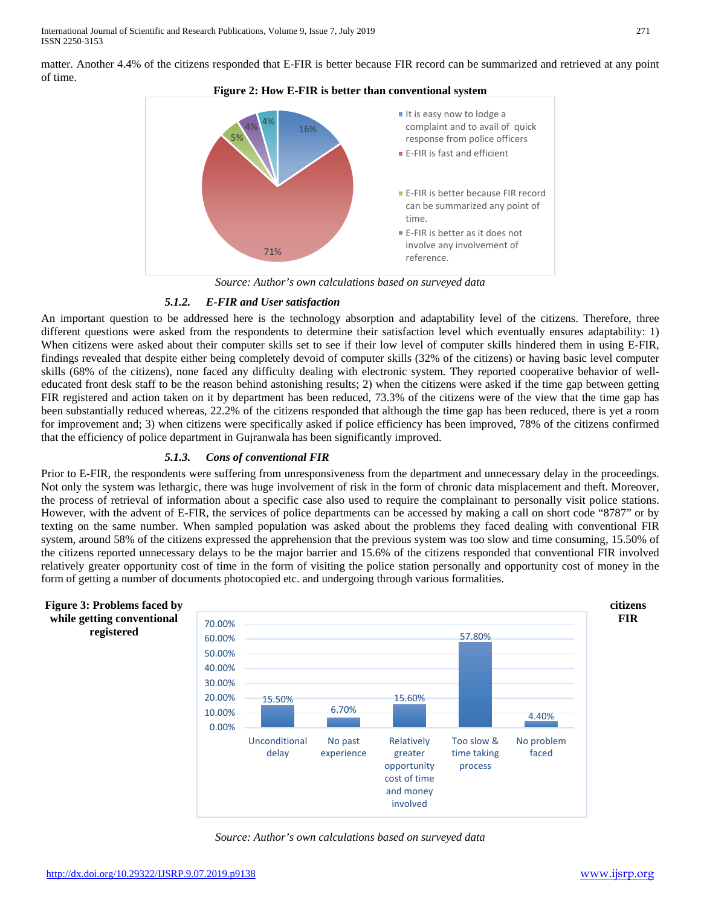matter. Another 4.4% of the citizens responded that E-FIR is better because FIR record can be summarized and retrieved at any point of time.





*Source: Author's own calculations based on surveyed data*

# *5.1.2. E-FIR and User satisfaction*

An important question to be addressed here is the technology absorption and adaptability level of the citizens. Therefore, three different questions were asked from the respondents to determine their satisfaction level which eventually ensures adaptability: 1) When citizens were asked about their computer skills set to see if their low level of computer skills hindered them in using E-FIR, findings revealed that despite either being completely devoid of computer skills (32% of the citizens) or having basic level computer skills (68% of the citizens), none faced any difficulty dealing with electronic system. They reported cooperative behavior of welleducated front desk staff to be the reason behind astonishing results; 2) when the citizens were asked if the time gap between getting FIR registered and action taken on it by department has been reduced, 73.3% of the citizens were of the view that the time gap has been substantially reduced whereas, 22.2% of the citizens responded that although the time gap has been reduced, there is yet a room for improvement and; 3) when citizens were specifically asked if police efficiency has been improved, 78% of the citizens confirmed that the efficiency of police department in Gujranwala has been significantly improved.

#### *5.1.3. Cons of conventional FIR*

Prior to E-FIR, the respondents were suffering from unresponsiveness from the department and unnecessary delay in the proceedings. Not only the system was lethargic, there was huge involvement of risk in the form of chronic data misplacement and theft. Moreover, the process of retrieval of information about a specific case also used to require the complainant to personally visit police stations. However, with the advent of E-FIR, the services of police departments can be accessed by making a call on short code "8787" or by texting on the same number. When sampled population was asked about the problems they faced dealing with conventional FIR system, around 58% of the citizens expressed the apprehension that the previous system was too slow and time consuming, 15.50% of the citizens reported unnecessary delays to be the major barrier and 15.6% of the citizens responded that conventional FIR involved relatively greater opportunity cost of time in the form of visiting the police station personally and opportunity cost of money in the form of getting a number of documents photocopied etc. and undergoing through various formalities.



*Source: Author's own calculations based on surveyed data*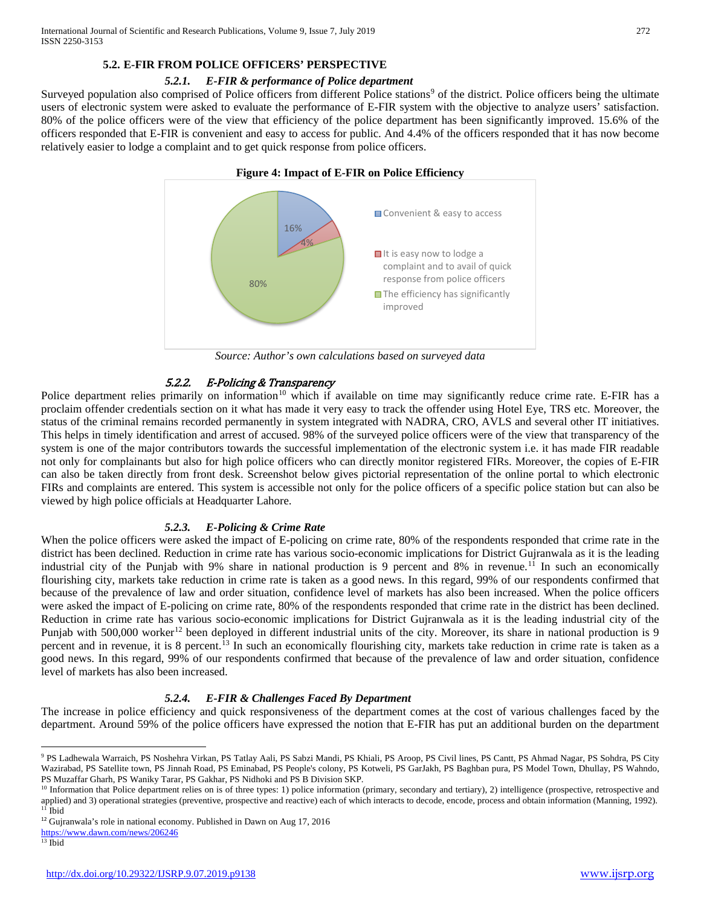# **5.2. E-FIR FROM POLICE OFFICERS' PERSPECTIVE**

## *5.2.1. E-FIR & performance of Police department*

Surveyed population also comprised of Police officers from different Police stations<sup>9</sup> of the district. Police officers being the ultimate users of electronic system were asked to evaluate the performance of E-FIR system with the objective to analyze users' satisfaction. 80% of the police officers were of the view that efficiency of the police department has been significantly improved. 15.6% of the officers responded that E-FIR is convenient and easy to access for public. And 4.4% of the officers responded that it has now become relatively easier to lodge a complaint and to get quick response from police officers.



*Source: Author's own calculations based on surveyed data*

# 5.2.2. E-Policing & Transparency

Police department relies primarily on information<sup>[10](#page-6-1)</sup> which if available on time may significantly reduce crime rate. E-FIR has a proclaim offender credentials section on it what has made it very easy to track the offender using Hotel Eye, TRS etc. Moreover, the status of the criminal remains recorded permanently in system integrated with NADRA, CRO, AVLS and several other IT initiatives. This helps in timely identification and arrest of accused. 98% of the surveyed police officers were of the view that transparency of the system is one of the major contributors towards the successful implementation of the electronic system i.e. it has made FIR readable not only for complainants but also for high police officers who can directly monitor registered FIRs. Moreover, the copies of E-FIR can also be taken directly from front desk. Screenshot below gives pictorial representation of the online portal to which electronic FIRs and complaints are entered. This system is accessible not only for the police officers of a specific police station but can also be viewed by high police officials at Headquarter Lahore.

# *5.2.3. E-Policing & Crime Rate*

When the police officers were asked the impact of E-policing on crime rate, 80% of the respondents responded that crime rate in the district has been declined. Reduction in crime rate has various socio-economic implications for District Gujranwala as it is the leading industrial city of the Punjab with 9% share in national production is 9 percent and 8% in revenue.<sup>[11](#page-6-2)</sup> In such an economically flourishing city, markets take reduction in crime rate is taken as a good news. In this regard, 99% of our respondents confirmed that because of the prevalence of law and order situation, confidence level of markets has also been increased. When the police officers were asked the impact of E-policing on crime rate, 80% of the respondents responded that crime rate in the district has been declined. Reduction in crime rate has various socio-economic implications for District Gujranwala as it is the leading industrial city of the Punjab with 500,000 worker<sup>[12](#page-6-3)</sup> been deployed in different industrial units of the city. Moreover, its share in national production is 9 percent and in revenue, it is 8 percent.<sup>[13](#page-6-4)</sup> In such an economically flourishing city, markets take reduction in crime rate is taken as a good news. In this regard, 99% of our respondents confirmed that because of the prevalence of law and order situation, confidence level of markets has also been increased.

# *5.2.4. E-FIR & Challenges Faced By Department*

The increase in police efficiency and quick responsiveness of the department comes at the cost of various challenges faced by the department. Around 59% of the police officers have expressed the notion that E-FIR has put an additional burden on the department

<span id="page-6-0"></span> <sup>9</sup> PS Ladhewala Warraich, PS Noshehra Virkan, PS Tatlay Aali, PS Sabzi Mandi, PS Khiali, PS Aroop, PS Civil lines, PS Cantt, PS Ahmad Nagar, PS Sohdra, PS City Wazirabad, PS Satellite town, PS Jinnah Road, PS Eminabad, PS People's colony, PS Kotweli, PS GarJakh, PS Baghban pura, PS Model Town, Dhullay, PS Wahndo, PS Muzaffar Gharh, PS Waniky Tarar, PS Gakhar, PS Nidhoki and PS B Division SKP.

<span id="page-6-1"></span><sup>&</sup>lt;sup>10</sup> Information that Police department relies on is of three types: 1) police information (primary, secondary and tertiary), 2) intelligence (prospective, retrospective and applied) and 3) operational strategies (preventive, prospective and reactive) each of which interacts to decode, encode, process and obtain information (Manning, 1992).<br><sup>11</sup> Ibid

<span id="page-6-3"></span><span id="page-6-2"></span><sup>&</sup>lt;sup>12</sup> Gujranwala's role in national economy. Published in Dawn on Aug 17, 2016

<https://www.dawn.com/news/206246>

<span id="page-6-4"></span> $13$  Ibid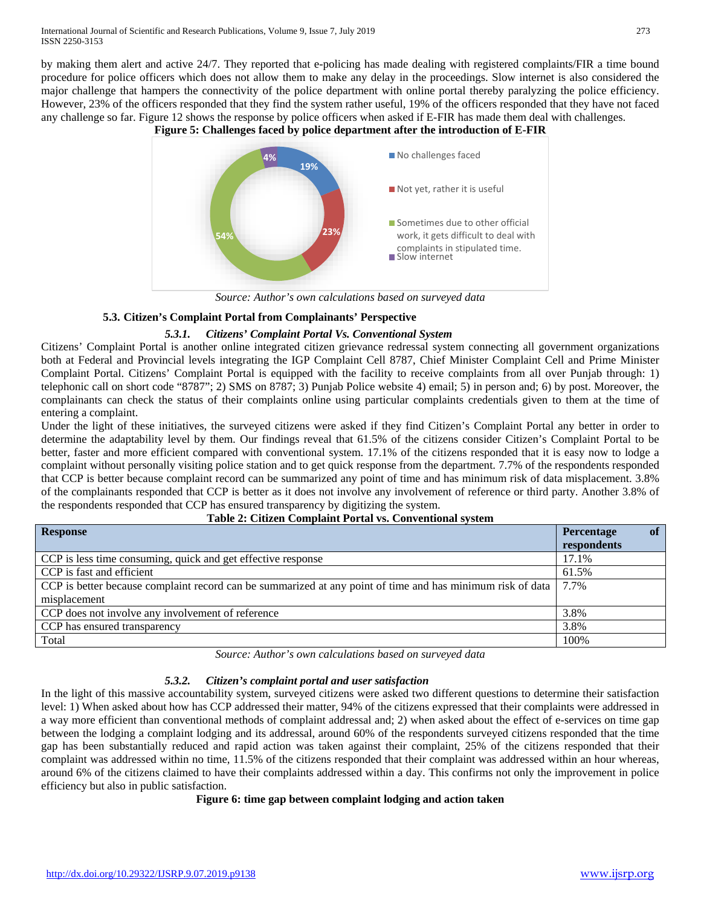by making them alert and active 24/7. They reported that e-policing has made dealing with registered complaints/FIR a time bound procedure for police officers which does not allow them to make any delay in the proceedings. Slow internet is also considered the major challenge that hampers the connectivity of the police department with online portal thereby paralyzing the police efficiency. However, 23% of the officers responded that they find the system rather useful, 19% of the officers responded that they have not faced any challenge so far. Figure 12 shows the response by police officers when asked if E-FIR has made them deal with challenges.

**Figure 5: Challenges faced by police department after the introduction of E-FIR**



*Source: Author's own calculations based on surveyed data*

# **5.3. Citizen's Complaint Portal from Complainants' Perspective**

#### *5.3.1. Citizens' Complaint Portal Vs. Conventional System*

Citizens' Complaint Portal is another online integrated citizen grievance redressal system connecting all government organizations both at Federal and Provincial levels integrating the IGP Complaint Cell 8787, Chief Minister Complaint Cell and Prime Minister Complaint Portal. Citizens' Complaint Portal is equipped with the facility to receive complaints from all over Punjab through: 1) telephonic call on short code "8787"; 2) SMS on 8787; 3) Punjab Police website 4) email; 5) in person and; 6) by post. Moreover, the complainants can check the status of their complaints online using particular complaints credentials given to them at the time of entering a complaint.

Under the light of these initiatives, the surveyed citizens were asked if they find Citizen's Complaint Portal any better in order to determine the adaptability level by them. Our findings reveal that 61.5% of the citizens consider Citizen's Complaint Portal to be better, faster and more efficient compared with conventional system. 17.1% of the citizens responded that it is easy now to lodge a complaint without personally visiting police station and to get quick response from the department. 7.7% of the respondents responded that CCP is better because complaint record can be summarized any point of time and has minimum risk of data misplacement. 3.8% of the complainants responded that CCP is better as it does not involve any involvement of reference or third party. Another 3.8% of the respondents responded that CCP has ensured transparency by digitizing the system.

| <b>Response</b>                                                                                            | <b>of</b><br>Percentage<br>respondents |
|------------------------------------------------------------------------------------------------------------|----------------------------------------|
| CCP is less time consuming, quick and get effective response                                               | 17.1%                                  |
| CCP is fast and efficient                                                                                  | 61.5%                                  |
| CCP is better because complaint record can be summarized at any point of time and has minimum risk of data | 7.7%                                   |
| misplacement                                                                                               |                                        |
| CCP does not involve any involvement of reference                                                          | 3.8%                                   |
| CCP has ensured transparency                                                                               | 3.8%                                   |
| Total                                                                                                      | 100%                                   |

# **Table 2: Citizen Complaint Portal vs. Conventional system**

*Source: Author's own calculations based on surveyed data*

# *5.3.2. Citizen's complaint portal and user satisfaction*

In the light of this massive accountability system, surveyed citizens were asked two different questions to determine their satisfaction level: 1) When asked about how has CCP addressed their matter, 94% of the citizens expressed that their complaints were addressed in a way more efficient than conventional methods of complaint addressal and; 2) when asked about the effect of e-services on time gap between the lodging a complaint lodging and its addressal, around 60% of the respondents surveyed citizens responded that the time gap has been substantially reduced and rapid action was taken against their complaint, 25% of the citizens responded that their complaint was addressed within no time, 11.5% of the citizens responded that their complaint was addressed within an hour whereas, around 6% of the citizens claimed to have their complaints addressed within a day. This confirms not only the improvement in police efficiency but also in public satisfaction.

#### **Figure 6: time gap between complaint lodging and action taken**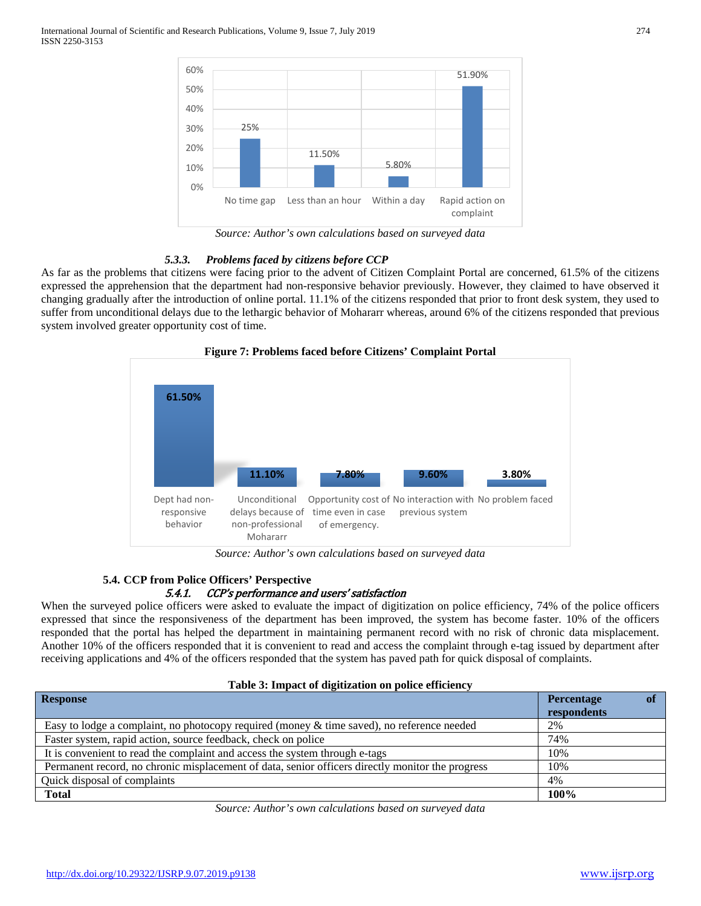

*Source: Author's own calculations based on surveyed data*

#### *5.3.3. Problems faced by citizens before CCP*

As far as the problems that citizens were facing prior to the advent of Citizen Complaint Portal are concerned, 61.5% of the citizens expressed the apprehension that the department had non-responsive behavior previously. However, they claimed to have observed it changing gradually after the introduction of online portal. 11.1% of the citizens responded that prior to front desk system, they used to suffer from unconditional delays due to the lethargic behavior of Mohararr whereas, around 6% of the citizens responded that previous system involved greater opportunity cost of time.



*Source: Author's own calculations based on surveyed data*

# **5.4. CCP from Police Officers' Perspective**

# 5.4.1. CCP's performance and users' satisfaction

When the surveyed police officers were asked to evaluate the impact of digitization on police efficiency, 74% of the police officers expressed that since the responsiveness of the department has been improved, the system has become faster. 10% of the officers responded that the portal has helped the department in maintaining permanent record with no risk of chronic data misplacement. Another 10% of the officers responded that it is convenient to read and access the complaint through e-tag issued by department after receiving applications and 4% of the officers responded that the system has paved path for quick disposal of complaints.

|  |  | Table 3: Impact of digitization on police efficiency |
|--|--|------------------------------------------------------|
|--|--|------------------------------------------------------|

| <b>Response</b>                                                                                  | Percentage  |
|--------------------------------------------------------------------------------------------------|-------------|
|                                                                                                  | respondents |
| Easy to lodge a complaint, no photocopy required (money $\&$ time saved), no reference needed    | 2%          |
| Faster system, rapid action, source feedback, check on police                                    | 74%         |
| It is convenient to read the complaint and access the system through e-tags                      | 10%         |
| Permanent record, no chronic misplacement of data, senior officers directly monitor the progress | 10%         |
| Quick disposal of complaints                                                                     | 4%          |
| <b>Total</b>                                                                                     | 100%        |

*Source: Author's own calculations based on surveyed data*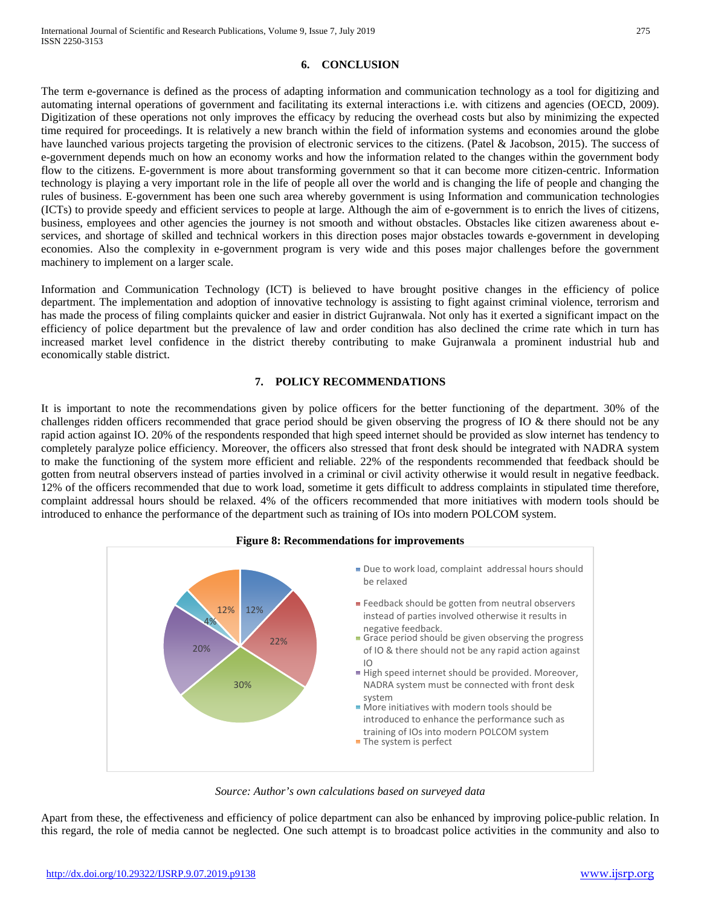## **6. CONCLUSION**

The term e-governance is defined as the process of adapting information and communication technology as a tool for digitizing and automating internal operations of government and facilitating its external interactions i.e. with citizens and agencies (OECD, 2009). Digitization of these operations not only improves the efficacy by reducing the overhead costs but also by minimizing the expected time required for proceedings. It is relatively a new branch within the field of information systems and economies around the globe have launched various projects targeting the provision of electronic services to the citizens. (Patel & Jacobson, 2015). The success of e-government depends much on how an economy works and how the information related to the changes within the government body flow to the citizens. E-government is more about transforming government so that it can become more citizen-centric. Information technology is playing a very important role in the life of people all over the world and is changing the life of people and changing the rules of business. E-government has been one such area whereby government is using Information and communication technologies (ICTs) to provide speedy and efficient services to people at large. Although the aim of e-government is to enrich the lives of citizens, business, employees and other agencies the journey is not smooth and without obstacles. Obstacles like citizen awareness about eservices, and shortage of skilled and technical workers in this direction poses major obstacles towards e-government in developing economies. Also the complexity in e-government program is very wide and this poses major challenges before the government machinery to implement on a larger scale.

Information and Communication Technology (ICT) is believed to have brought positive changes in the efficiency of police department. The implementation and adoption of innovative technology is assisting to fight against criminal violence, terrorism and has made the process of filing complaints quicker and easier in district Gujranwala. Not only has it exerted a significant impact on the efficiency of police department but the prevalence of law and order condition has also declined the crime rate which in turn has increased market level confidence in the district thereby contributing to make Gujranwala a prominent industrial hub and economically stable district.

#### **7. POLICY RECOMMENDATIONS**

It is important to note the recommendations given by police officers for the better functioning of the department. 30% of the challenges ridden officers recommended that grace period should be given observing the progress of IO & there should not be any rapid action against IO. 20% of the respondents responded that high speed internet should be provided as slow internet has tendency to completely paralyze police efficiency. Moreover, the officers also stressed that front desk should be integrated with NADRA system to make the functioning of the system more efficient and reliable. 22% of the respondents recommended that feedback should be gotten from neutral observers instead of parties involved in a criminal or civil activity otherwise it would result in negative feedback. 12% of the officers recommended that due to work load, sometime it gets difficult to address complaints in stipulated time therefore, complaint addressal hours should be relaxed. 4% of the officers recommended that more initiatives with modern tools should be introduced to enhance the performance of the department such as training of IOs into modern POLCOM system.



#### **Figure 8: Recommendations for improvements**

*Source: Author's own calculations based on surveyed data*

Apart from these, the effectiveness and efficiency of police department can also be enhanced by improving police-public relation. In this regard, the role of media cannot be neglected. One such attempt is to broadcast police activities in the community and also to